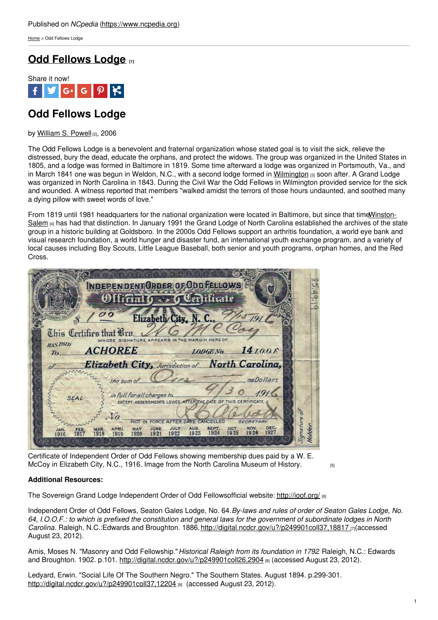[Home](https://www.ncpedia.org/) > Odd Fellows Lodge

## **Odd [Fellows](https://www.ncpedia.org/odd-fellows-lodge) Lodge [1]**



# **Odd Fellows Lodge**

by [William](https://www.ncpedia.org/biography/powell-william) S. Powell [2], 2006

The Odd Fellows Lodge is a benevolent and fraternal organization whose stated goal is to visit the sick, relieve the distressed, bury the dead, educate the orphans, and protect the widows. The group was organized in the United States in 1805, and a lodge was formed in Baltimore in 1819. Some time afterward a lodge was organized in Portsmouth, Va., and in March 1841 one was begun in Weldon, N.C., with a second lodge formed in [Wilmington](https://www.ncpedia.org/geography/wilmington) [3] soon after. A Grand Lodge was organized in North Carolina in 1843. During the Civil War the Odd Fellows in Wilmington provided service for the sick and wounded. A witness reported that [members](http://www.social9.com) "walked amidst the terrors of those hours undaunted, and soothed many a dying pillow with sweet words of love."

From 1819 until 1981 [headquarters](https://www.ncpedia.org/geography/winston-salem) for the national organization were located in Baltimore, but since that timeWinston-Salem [4] has had that distinction. In January 1991 the Grand Lodge of North Carolina established the archives of the state group in a historic building at Goldsboro. In the 2000s Odd Fellows support an arthritis foundation, a world eye bank and visual research foundation, a world hunger and disaster fund, an international youth exchange program, and a variety of local causes including Boy Scouts, Little League Baseball, both senior and youth programs, orphan homes, and the Red Cross.

|                                                               | INDEPENDENT GROER OF ODD FELLOWS<br>Offifial 6 - Geriticate                                                                                                                                                                                                                                                                                                                          |  |
|---------------------------------------------------------------|--------------------------------------------------------------------------------------------------------------------------------------------------------------------------------------------------------------------------------------------------------------------------------------------------------------------------------------------------------------------------------------|--|
| Chis Certifies that Bro.<br><b>HAS PAID</b><br>T <sub>0</sub> | Elizabeth City, N. C., 775791<br>WHOSE SIGNATURE APPEARS IN THE MARGIN HERE OF<br><b>ACHOREE</b><br>$LODENo.$ 14 $LO.$                                                                                                                                                                                                                                                               |  |
| of<br><b>SEAL</b><br><b>JAN</b>                               | Elizabeth City, Jurisdiction of North Carolina,<br>reeDollars<br>the sum of<br>in full for all charges to<br>EXCEPT ASSESSMENTS LEVIED AFTER THE DATE OF TH<br>FORCE AFTER DATE CANCELLED<br><b>SECRETARY</b><br>DEC.<br>AUG.<br>SEPT.<br>NOV.<br>JULY<br>OCT<br>JUNE<br><b>APRIL</b><br>MAY<br>MAR.<br>1927<br>1924<br>1926<br>1923<br>1925<br>1922<br>1920<br>1921<br>1918<br>1919 |  |

Certificate of Independent Order of Odd Fellows showing membership dues paid by a W. E. McCoy in [Elizabeth](http://collections.ncdcr.gov/RediscoveryProficioPublicSearch/ShowItem.aspx?42210+) City, N.C., 1916. Image from the North Carolina Museum of History.

### **Additional Resources:**

The Sovereign Grand Lodge Independent Order of Odd Fellowsofficial website: <http://ioof.org/> [6]

Independent Order of Odd Fellows, Seaton Gales Lodge, No. 64.*By-laws and rules of order of Seaton Gales Lodge, No.* 64, I.O.O.F.: to which is prefixed the constitution and general laws for the government of subordinate lodges in North *Carolina*. Raleigh, N.C.:Edwards and Broughton. 1886. <http://digital.ncdcr.gov/u?/p249901coll37,18817> [7](accessed August 23, 2012).

Amis, Moses N. "Masonry and Odd Fellowship."*Historical Raleigh from its foundation in 1792*. Raleigh, N.C.: Edwards and Broughton. 1902. p.101. <http://digital.ncdcr.gov/u?/p249901coll26,2904> [8] (accessed August 23, 2012).

Ledyard, Erwin. "Social Life Of The Southern Negro." The Southern States. August 1894. p.299-301. <http://digital.ncdcr.gov/u?/p249901coll37,12204> [9] (accessed August 23, 2012).